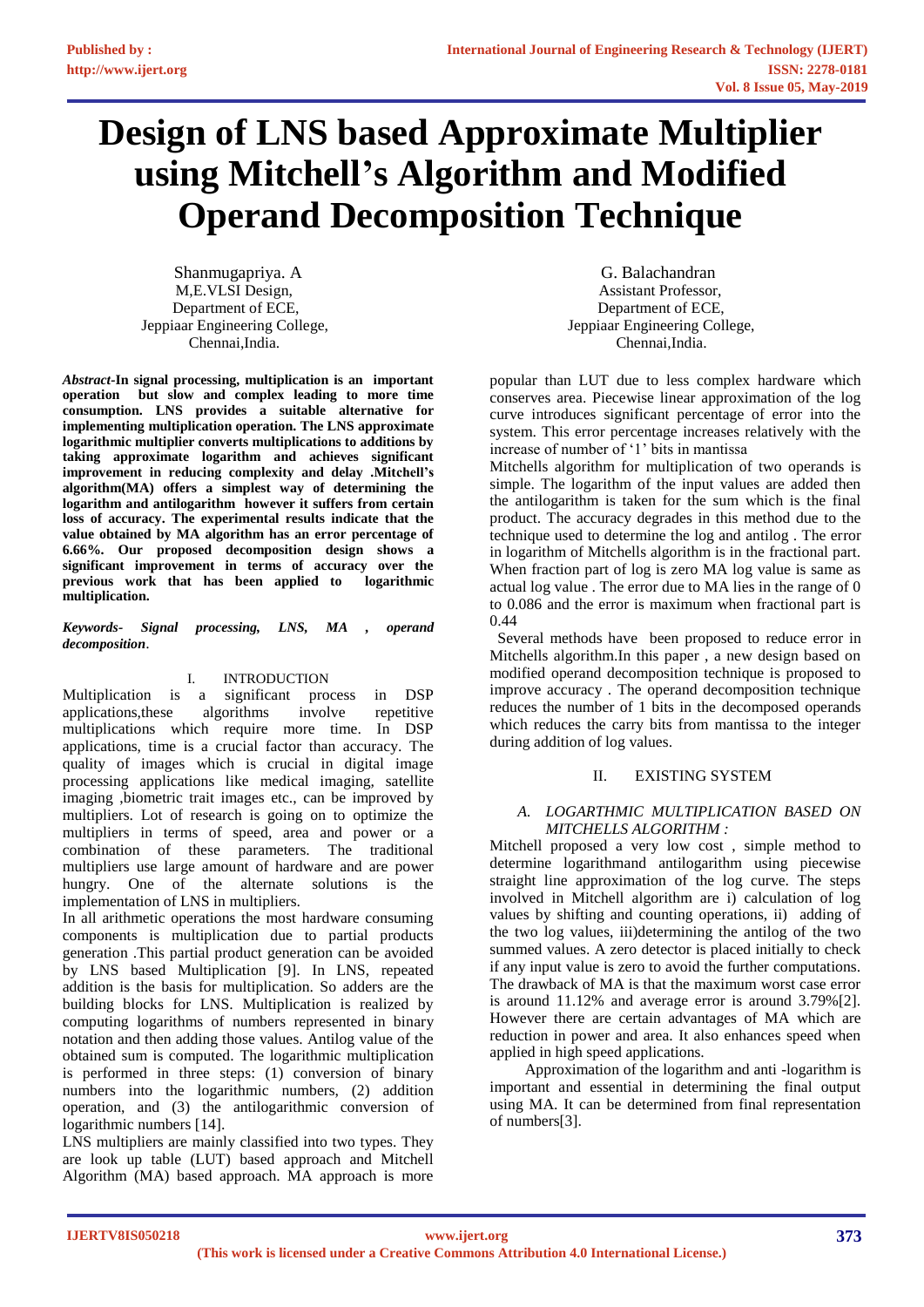# **Design of LNS based Approximate Multiplier using Mitchell's Algorithm and Modified Operand Decomposition Technique**

Shanmugapriya. A G. Balachandran Chennai,India. Chennai,India.

*Abstract-***In signal processing, multiplication is an important operation but slow and complex leading to more time consumption. LNS provides a suitable alternative for implementing multiplication operation. The LNS approximate logarithmic multiplier converts multiplications to additions by taking approximate logarithm and achieves significant improvement in reducing complexity and delay .Mitchell's algorithm(MA) offers a simplest way of determining the logarithm and antilogarithm however it suffers from certain loss of accuracy. The experimental results indicate that the value obtained by MA algorithm has an error percentage of 6.66%. Our proposed decomposition design shows a significant improvement in terms of accuracy over the previous work that has been applied to logarithmic multiplication.**

#### *Keywords- Signal processing, LNS, MA , operand decomposition*.

# I. INTRODUCTION

Multiplication is a significant process in DSP applications,these algorithms involve repetitive multiplications which require more time. In DSP applications, time is a crucial factor than accuracy. The quality of images which is crucial in digital image processing applications like medical imaging, satellite imaging ,biometric trait images etc., can be improved by multipliers. Lot of research is going on to optimize the multipliers in terms of speed, area and power or a combination of these parameters. The traditional multipliers use large amount of hardware and are power hungry. One of the alternate solutions is the implementation of LNS in multipliers.

In all arithmetic operations the most hardware consuming components is multiplication due to partial products generation .This partial product generation can be avoided by LNS based Multiplication [9]. In LNS, repeated addition is the basis for multiplication. So adders are the building blocks for LNS. Multiplication is realized by computing logarithms of numbers represented in binary notation and then adding those values. Antilog value of the obtained sum is computed. The logarithmic multiplication is performed in three steps: (1) conversion of binary numbers into the logarithmic numbers, (2) addition operation, and (3) the antilogarithmic conversion of logarithmic numbers [14].

LNS multipliers are mainly classified into two types. They are look up table (LUT) based approach and Mitchell Algorithm (MA) based approach. MA approach is more

M,E.VLSI Design, and the set of the set of the set of the Assistant Professor, Department of ECE, Department of ECE, Jeppiaar Engineering College, Jeppiaar Engineering College,

> popular than LUT due to less complex hardware which conserves area. Piecewise linear approximation of the log curve introduces significant percentage of error into the system. This error percentage increases relatively with the increase of number of '1' bits in mantissa

> Mitchells algorithm for multiplication of two operands is simple. The logarithm of the input values are added then the antilogarithm is taken for the sum which is the final product. The accuracy degrades in this method due to the technique used to determine the log and antilog . The error in logarithm of Mitchells algorithm is in the fractional part. When fraction part of log is zero MA log value is same as actual log value . The error due to MA lies in the range of 0 to 0.086 and the error is maximum when fractional part is 0.44

> Several methods have been proposed to reduce error in Mitchells algorithm.In this paper , a new design based on modified operand decomposition technique is proposed to improve accuracy . The operand decomposition technique reduces the number of 1 bits in the decomposed operands which reduces the carry bits from mantissa to the integer during addition of log values.

# II. EXISTING SYSTEM

### *A. LOGARTHMIC MULTIPLICATION BASED ON MITCHELLS ALGORITHM :*

Mitchell proposed a very low cost , simple method to determine logarithmand antilogarithm using piecewise straight line approximation of the log curve. The steps involved in Mitchell algorithm are i) calculation of log values by shifting and counting operations, ii) adding of the two log values, iii)determining the antilog of the two summed values. A zero detector is placed initially to check if any input value is zero to avoid the further computations. The drawback of MA is that the maximum worst case error is around 11.12% and average error is around 3.79%[2]. However there are certain advantages of MA which are reduction in power and area. It also enhances speed when applied in high speed applications.

 Approximation of the logarithm and anti -logarithm is important and essential in determining the final output using MA. It can be determined from final representation of numbers[3].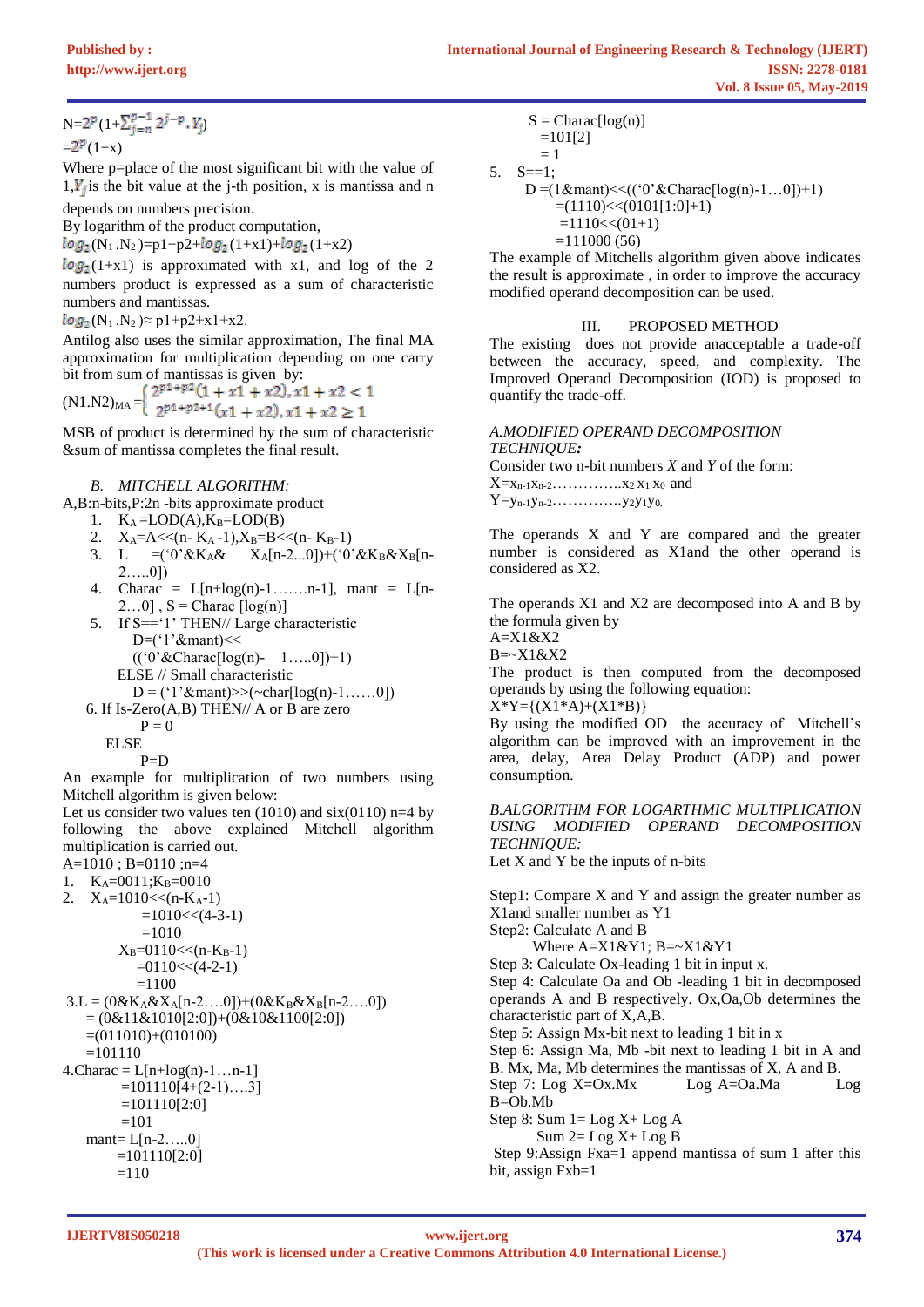$N=2^p(1+\sum_{i=n}^{p-1}2^{j-p} \cdot Y_i)$ 

 $= 2^{p}(1+x)$ 

Where p=place of the most significant bit with the value of  $1, Y_i$  is the bit value at the j-th position, x is mantissa and n depends on numbers precision.

By logarithm of the product computation,

 $log_2(N_1.N_2)=p1+p2+ log_2(1+x1)+ log_2(1+x2)$ 

 $log_2(1+x1)$  is approximated with x1, and log of the 2 numbers product is expressed as a sum of characteristic numbers and mantissas.

 $log_2(N_1.N_2) \approx p1+p2+x1+x2.$ 

Antilog also uses the similar approximation, The final MA approximation for multiplication depending on one carry bit from sum of mantissas is given by:

(N1.N2)<sub>MA</sub> =  $\begin{cases} 2^{p_1+p_2}(1+x1+x2), x1+x2 < 1 \\ 2^{p_1+p_2+1}(x1+x2), x1+x2 \ge 1 \end{cases}$ 

MSB of product is determined by the sum of characteristic &sum of mantissa completes the final result.

# *B. MITCHELL ALGORITHM:*

A,B:n-bits,P:2n -bits approximate product

- 1.  $K_A = LOD(A), K_B = LOD(B)$
- 2.  $X_A=A\ll (n-K_A-1), X_B=B\ll (n-K_B-1)$
- 3. L =('0'&K<sub>A</sub>& X<sub>A</sub>[n-2...0])+('0'&K<sub>B</sub>&X<sub>B</sub>[n-2…..0])
- 4. Charac =  $L[n+log(n)-1, \ldots, n-1]$ , mant =  $L[n-1]$  $2...0$ ],  $S =$ Charac  $\lceil log(n) \rceil$
- 5. If S=='1' THEN// Large characteristic D=('1'&mant)<<  $((0)$ <sup>2</sup> & Charac $[log(n) - 1$ …...0]) + 1) ELSE // Small characteristic
- $D = (1'8mant) > (-char[log(n)-1......0])$
- 6. If Is-Zero(A,B) THEN// A or B are zero  $P = 0$ 
	- ELSE

$$
\overset{\text{LSDL}}{P} = D
$$

An example for multiplication of two numbers using Mitchell algorithm is given below:

Let us consider two values ten  $(1010)$  and  $six(0110)$  n=4 by following the above explained Mitchell algorithm multiplication is carried out.

A=1010 ; B=0110 ;n=4

1.  $K_A=0011; K_B=0010$ 2.  $X_A = 1010 \leq (n-K_A-1)$ 

$$
=1010
$$
  
=1010

$$
=1010
$$
  
X<sub>B</sub>=0110<< $(n-K_B-1)$ 

$$
\Delta B=0.110<\langle n-\Delta B^2\rangle
$$
  
=0.110< $\langle 4-2-1\rangle$ 

$$
= 1100
$$
  
= 1100

$$
3.L = (0&K_A&X_A[n-2...0]) + (0&K_B&X_B[n-2...0])
$$

$$
= (0&11&1010[2:0]) + (0&10&1100[2:0])
$$

$$
=(011010)+(010100)
$$

$$
=101110
$$

$$
4. Character = L[n+log(n)-1...n-1]
$$

 $=101110[4+(2-1)...3]$  $=101110[2:0]$ 

$$
=101110[2.000]
$$

mant=  $L[n-2....0]$ 

$$
=101110[2:0]
$$
  
=110

 $S = Charac[log(n)]$  $=101[2]$  $= 1$ 5. S==1;

D =(1&mant) <<  $((0'&{\text{Charac}}[log(n)-1...0])+1)$  $|+1)$ 

$$
=(1110) < (0101)1.0
$$

 $=1110\lt(01+1)$  $=111000(56)$ 

The example of Mitchells algorithm given above indicates the result is approximate , in order to improve the accuracy modified operand decomposition can be used.

# III. PROPOSED METHOD

The existing does not provide anacceptable a trade-off between the accuracy, speed, and complexity. The Improved Operand Decomposition (IOD) is proposed to quantify the trade-off.

# *A.MODIFIED OPERAND DECOMPOSITION*

*TECHNIQUE:* Consider two n-bit numbers *X* and *Y* of the form:  $X = x_{n-1}x_{n-2}...x_1x_2x_1x_0$  and  $Y=y_{n-1}y_{n-2}... \ldots y_2y_1y_0$ .

The operands X and Y are compared and the greater number is considered as X1and the other operand is considered as X2.

The operands X1 and X2 are decomposed into A and B by the formula given by

A=X1&X2

B=~X1&X2

The product is then computed from the decomposed operands by using the following equation:

 $X^*Y=\{(X1^*A)+(X1^*B)\}$ 

By using the modified OD the accuracy of Mitchell's algorithm can be improved with an improvement in the area, delay, Area Delay Product (ADP) and power consumption.

# *B.ALGORITHM FOR LOGARTHMIC MULTIPLICATION USING MODIFIED OPERAND DECOMPOSITION TECHNIQUE:*

Let  $X$  and  $Y$  be the inputs of n-bits

Step1: Compare X and Y and assign the greater number as X1and smaller number as Y1 Step2: Calculate A and B Where A=X1&Y1; B=~X1&Y1 Step 3: Calculate Ox-leading 1 bit in input x. Step 4: Calculate Oa and Ob -leading 1 bit in decomposed operands A and B respectively. Ox,Oa,Ob determines the characteristic part of X,A,B. Step 5: Assign Mx-bit next to leading 1 bit in x Step 6: Assign Ma, Mb -bit next to leading 1 bit in A and B. Mx, Ma, Mb determines the mantissas of X, A and B. Step 7: Log X=Ox.Mx Log A=Oa.Ma Log B=Ob.Mb Step 8: Sum  $1 =$  Log  $X +$  Log A  $Sum 2 = Log X + Log B$ Step 9:Assign Fxa=1 append mantissa of sum 1 after this bit, assign Fxb=1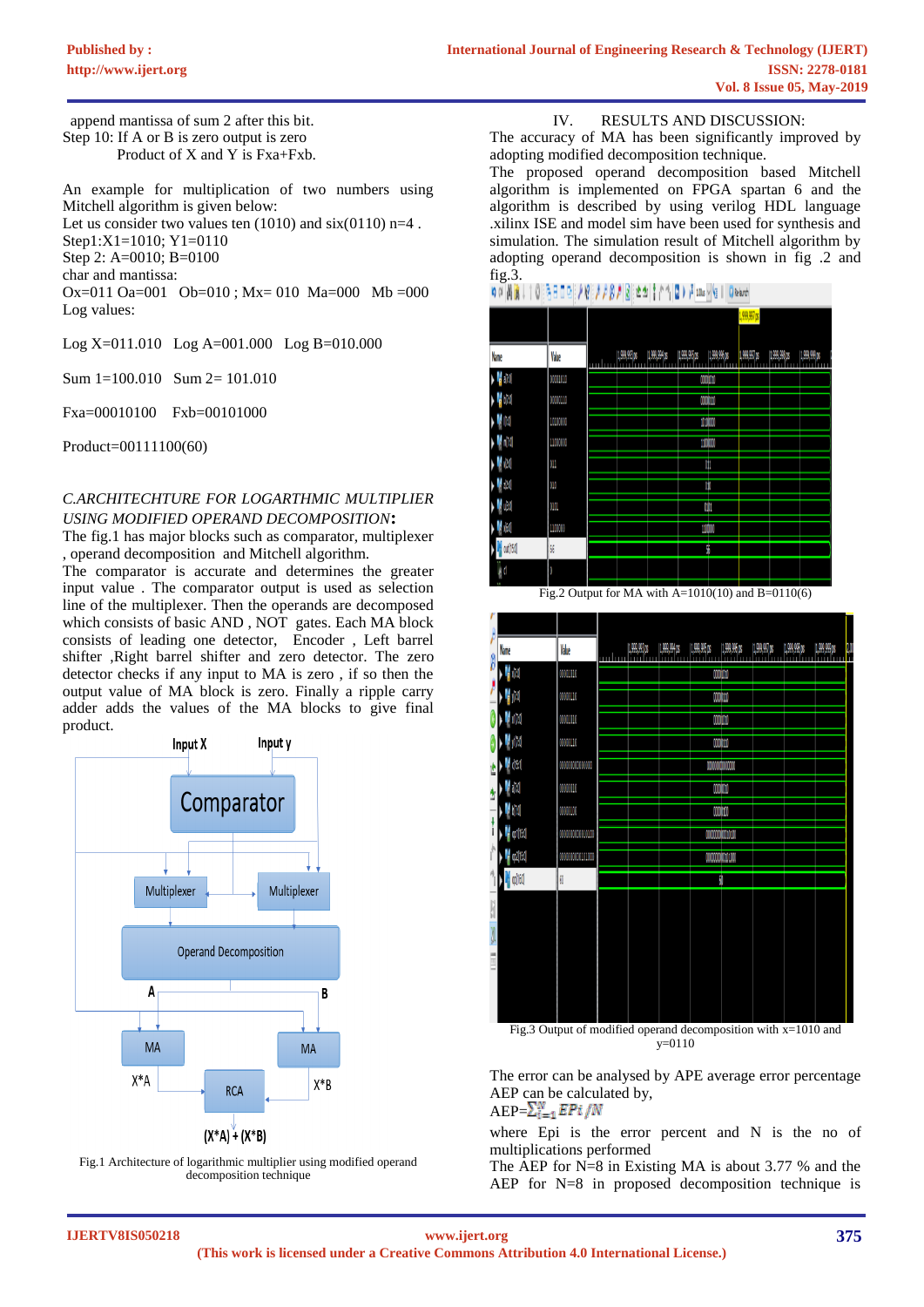append mantissa of sum 2 after this bit. Step 10: If A or B is zero output is zero Product of X and Y is Fxa+Fxb.

An example for multiplication of two numbers using Mitchell algorithm is given below: Let us consider two values ten  $(1010)$  and  $six(0110)$  n=4. Step1:X1=1010; Y1=0110 Step 2: A=0010; B=0100 char and mantissa: Ox=011 Oa=001 Ob=010 ; Mx= 010 Ma=000 Mb =000 Log values:

Log X=011.010 Log A=001.000 Log B=010.000

Sum 1=100.010 Sum 2= 101.010

Fxa=00010100 Fxb=00101000

Product=00111100(60)

# *C.ARCHITECHTURE FOR LOGARTHMIC MULTIPLIER USING MODIFIED OPERAND DECOMPOSITION***:**

The fig.1 has major blocks such as comparator, multiplexer , operand decomposition and Mitchell algorithm.

The comparator is accurate and determines the greater input value . The comparator output is used as selection line of the multiplexer. Then the operands are decomposed which consists of basic AND , NOT gates. Each MA block consists of leading one detector, Encoder , Left barrel shifter ,Right barrel shifter and zero detector. The zero detector checks if any input to MA is zero , if so then the output value of MA block is zero. Finally a ripple carry adder adds the values of the MA blocks to give final product.



Fig.1 Architecture of logarithmic multiplier using modified operand decomposition technique

### IV. RESULTS AND DISCUSSION:

The accuracy of MA has been significantly improved by adopting modified decomposition technique.

The proposed operand decomposition based Mitchell algorithm is implemented on FPGA spartan 6 and the algorithm is described by using verilog HDL language .xilinx ISE and model sim have been used for synthesis and simulation. The simulation result of Mitchell algorithm by adopting operand decomposition is shown in fig .2 and fig.3.



(1,999,993 ps (1,999,994 ps (1,999,995 ps (1,999,996 ps (1,999,997 ps (1,999,990 ps (1,999,990 ps **Nome** Value HM 0001010 combine HM 0000110 mmm M dia 00001010 continue  $\blacksquare$ 0000110 mim M dist mminm  $\boldsymbol{V}$  and 0000010 min Mala 0000000 mim **M** roll150 **M** to 2015. 00000000010100  $\frac{1}{2}$  collect Fig.3 Output of modified operand decomposition with x=1010 and y=0110

The error can be analysed by APE average error percentage AEP can be calculated by,

 $AEP=\sum_{i=1}^{N}EPi/N$ 

where Epi is the error percent and N is the no of multiplications performed

The AEP for N=8 in Existing MA is about 3.77 % and the AEP for N=8 in proposed decomposition technique is